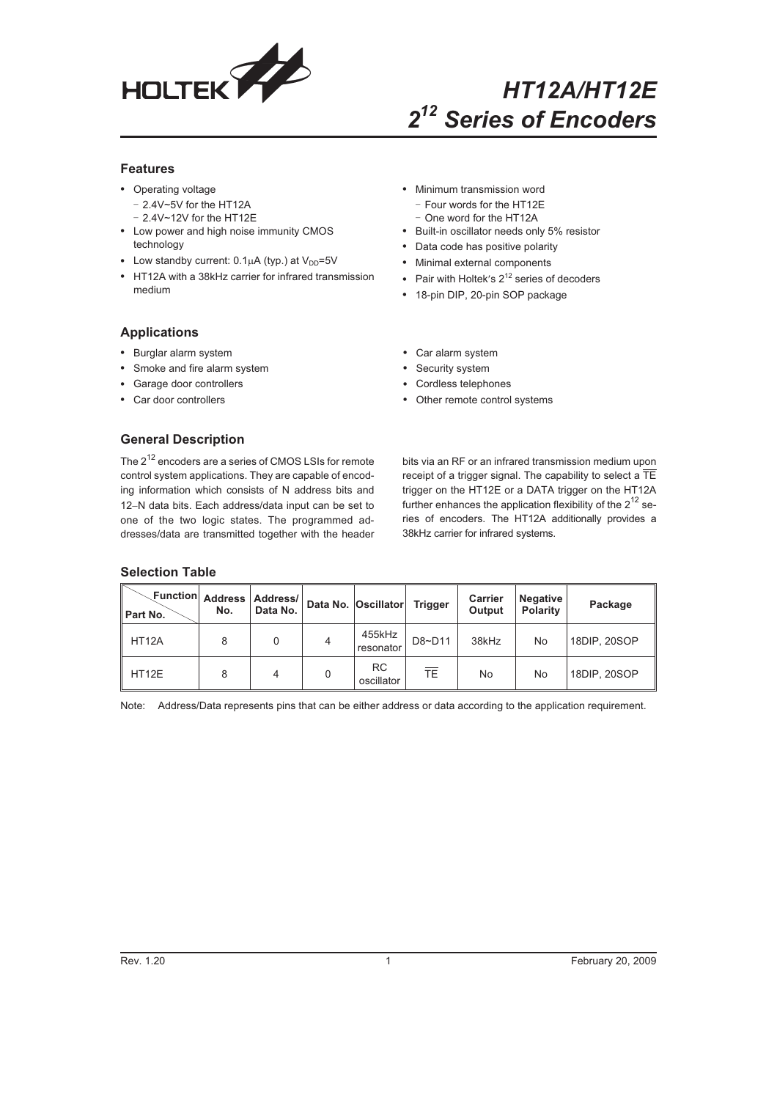

# *HT12A/HT12E 2<sup>12</sup> Series of Encoders*

#### **Features**

- Operating voltage
	- 2.4V~5V for the HT12A
	- 2.4V~12V for the HT12E
- Low power and high noise immunity CMOS technology
- Low standby current:  $0.1\mu A$  (typ.) at  $V_{DD} = 5V$
- HT12A with a 38kHz carrier for infrared transmission medium
- Minimum transmission word - Four words for the HT12E - One word for the HT12A
- Built-in oscillator needs only 5% resistor
- Data code has positive polarity
- Minimal external components
- Pair with Holtek's  $2^{12}$  series of decoders
- 18-pin DIP, 20-pin SOP package

## **Applications**

- Burglar alarm system
- Smoke and fire alarm system
- Garage door controllers
- Car door controllers
- Car alarm system
- Security system
- Cordless telephones
- Other remote control systems

## **General Description**

The 2<sup>12</sup> encoders are a series of CMOS LSIs for remote control system applications. They are capable of encoding information which consists of N address bits and 12-N data bits. Each address/data input can be set to one of the two logic states. The programmed addresses/data are transmitted together with the header bits via an RF or an infrared transmission medium upon receipt of a trigger signal. The capability to select a  $\overline{\text{TE}}$ trigger on the HT12E or a DATA trigger on the HT12A further enhances the application flexibility of the  $2^{12}$  series of encoders. The HT12A additionally provides a 38kHz carrier for infrared systems.

## **Selection Table**

| <b>Function Address</b><br>Part No. | No. | Address/<br>Data No. | Data No. Oscillator     | <b>Trigger</b> | <b>Carrier</b><br>Output | <b>Negative</b><br><b>Polarity</b> | Package      |
|-------------------------------------|-----|----------------------|-------------------------|----------------|--------------------------|------------------------------------|--------------|
| HT <sub>12</sub> A                  | 8   | 0                    | 455kHz<br>resonator     | D8~D11         | 38kHz                    | No                                 | 18DIP, 20SOP |
| HT12E                               | 8   | 4                    | <b>RC</b><br>oscillator | TE             | No                       | No                                 | 18DIP, 20SOP |

Note: Address/Data represents pins that can be either address or data according to the application requirement.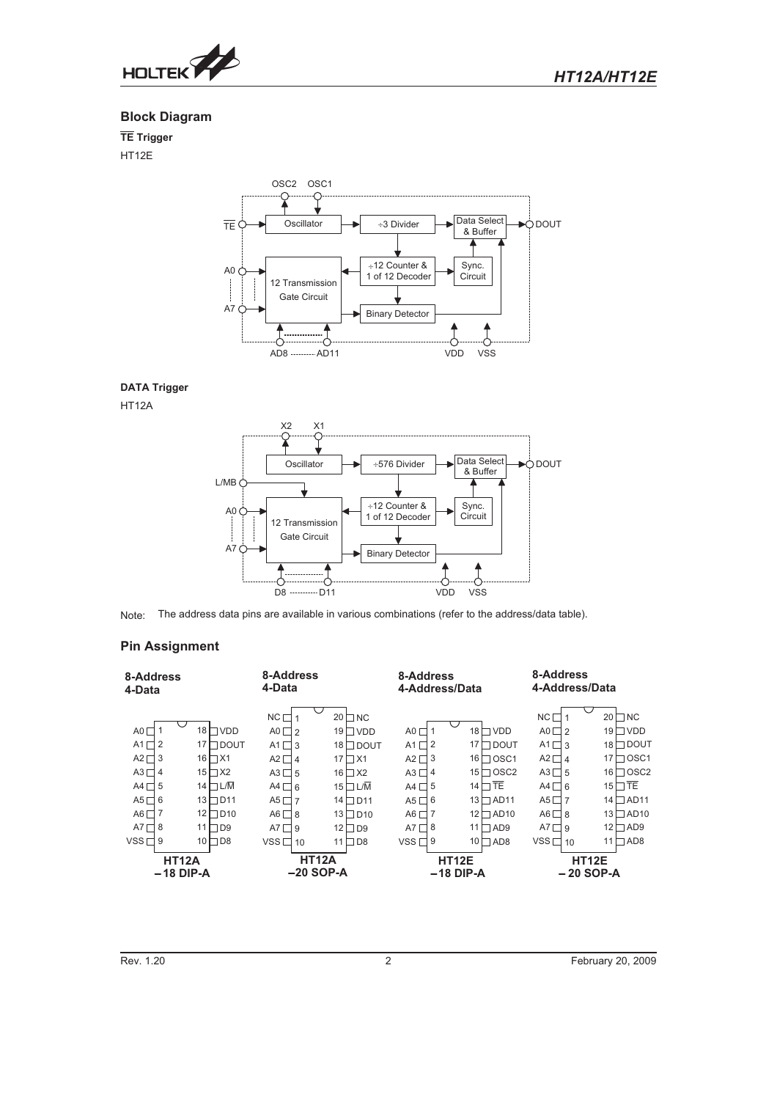

## **Block Diagram**

**TE Trigger**

HT12E



## **DATA Trigger**

HT12A



Note: The address data pins are available in various combinations (refer to the address/data table).

## **Pin Assignment**

| 8-Address<br>4-Data                                                                      |                                                                                               | 8-Address<br>4-Data                                                                                         |                                                                                                               | 8-Address<br>4-Address/Data                                                         |                                                                                                                    | 8-Address<br>4-Address/Data                                                                                 |                                                                                                                         |
|------------------------------------------------------------------------------------------|-----------------------------------------------------------------------------------------------|-------------------------------------------------------------------------------------------------------------|---------------------------------------------------------------------------------------------------------------|-------------------------------------------------------------------------------------|--------------------------------------------------------------------------------------------------------------------|-------------------------------------------------------------------------------------------------------------|-------------------------------------------------------------------------------------------------------------------------|
| A0 $\Box$<br>A1 $\sqcap$ 2<br>$A2 \square$ 3<br>$A3\Box$ 4<br>A4 $\Box$ 5<br>A5 $\Box$ 6 | $17$ $\Box$ DOUT<br>$16$ $\Box$ $X1$<br>$15 \square X2$<br>14 $\Box$ L/M<br>$13$ $\Box$ $D11$ | NC <sub>1</sub><br>$AO \square 2$<br>A1 $\Box$ 3<br>$A2 \Box 4$<br>$A3 \Box 5$<br>$AA \Box 6$<br>A5 $\Pi$ 7 | $20$ $\Box$ NC<br>19 $\Box$ VDD<br>18 □ DOUT<br>$17$ $\Box$ $X1$<br>$16 \square X2$<br>$15$ $L/M$<br>14 □ D11 | A0 (<br>A1<br>٦2<br>A2 [<br>٦3<br>A3 L<br>٦4<br>A4 I<br>٦5<br>A5 <sup>I</sup><br>٦6 | 18 $\Box$<br><b>VDD</b><br>17 $\Box$ DOUT<br>$16 \square$ OSC1<br>$15 \square$ OSC2<br>$14$ TE<br>$13$ $\Box$ AD11 | NC I<br>A0 $\Box$ <sub>2</sub><br>$A1 \square 3$<br>$A2 \Box 4$<br>$A3\Box 5$<br>$AA \Box 6$<br>$AS \Box 7$ | 20<br>$\sqcap$ NC<br>□ VDD<br>19<br>H dout<br>18<br>7 OSC1<br>17<br>$\Box$ OSC2<br>16<br>$15$ T TE<br>$14 \square$ AD11 |
| A6 $\Box$<br>$A7\Box 8$<br>$VSS \Box 9$                                                  | $12$ D <sub>10</sub><br>11<br>$\Box$ D9<br>$10$ D <sub>8</sub>                                | $AG \Box 8$<br>$AT \Box 9$<br>$VSS \Box 10$                                                                 | 13□D10<br>$12 \square D9$<br>$11 \square$ D8                                                                  | A6 [<br>A7 I<br>8 ד<br>VSS $\Box$ 9                                                 | $12$ $\Box$ AD10<br>11<br>$\Box$ AD9<br>$10 \square$ AD8                                                           | AGT8<br>$AT \Box 9$<br>$VSS \Box 10$                                                                        | $13 \square$ AD10<br>12<br>$\Box$ AD9<br>$\Box$ AD8<br>11                                                               |
| <b>HT12A</b><br>$-18$ DIP-A                                                              |                                                                                               | <b>HT12A</b><br>$-20$ SOP-A                                                                                 |                                                                                                               |                                                                                     | <b>HT12E</b><br>$-18$ DIP-A                                                                                        | $-20$ SOP-A                                                                                                 | HT12E                                                                                                                   |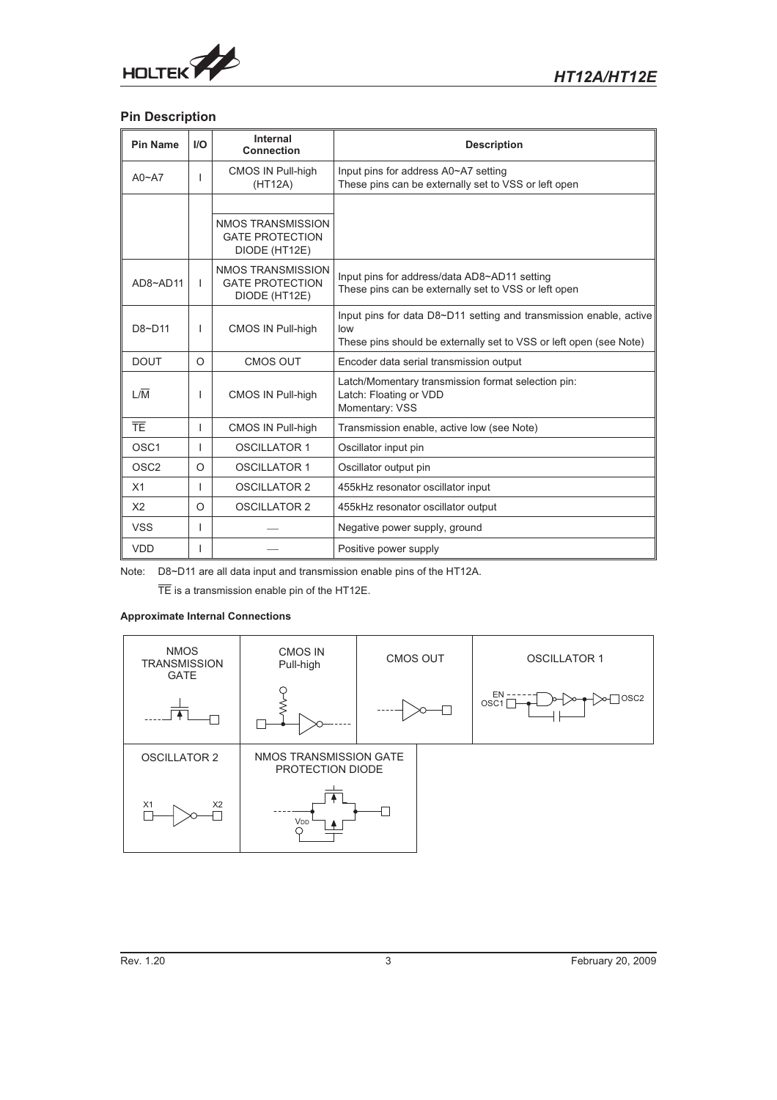

## **Pin Description**

| <b>Pin Name</b>  | I/O          | Internal<br><b>Connection</b>                                       | <b>Description</b>                                                                                                                              |
|------------------|--------------|---------------------------------------------------------------------|-------------------------------------------------------------------------------------------------------------------------------------------------|
| $A0 - A7$        |              | <b>CMOS IN Pull-high</b><br>(HT12A)                                 | Input pins for address A0~A7 setting<br>These pins can be externally set to VSS or left open                                                    |
|                  |              |                                                                     |                                                                                                                                                 |
|                  |              | <b>NMOS TRANSMISSION</b><br><b>GATE PROTECTION</b><br>DIODE (HT12E) |                                                                                                                                                 |
| $AD8 - AD11$     | $\mathbf{I}$ | NMOS TRANSMISSION<br><b>GATE PROTECTION</b><br>DIODE (HT12E)        | Input pins for address/data AD8~AD11 setting<br>These pins can be externally set to VSS or left open                                            |
| $DA~-D11$        | I.           | <b>CMOS IN Pull-high</b>                                            | Input pins for data D8~D11 setting and transmission enable, active<br>low<br>These pins should be externally set to VSS or left open (see Note) |
| <b>DOUT</b>      | O            | <b>CMOS OUT</b>                                                     | Encoder data serial transmission output                                                                                                         |
| 1/M              | ı            | <b>CMOS IN Pull-high</b>                                            | Latch/Momentary transmission format selection pin:<br>Latch: Floating or VDD<br>Momentary: VSS                                                  |
| TF               |              | <b>CMOS IN Pull-high</b>                                            | Transmission enable, active low (see Note)                                                                                                      |
| OSC <sub>1</sub> | I.           | <b>OSCILLATOR 1</b>                                                 | Oscillator input pin                                                                                                                            |
| OSC <sub>2</sub> | $\Omega$     | <b>OSCILLATOR 1</b>                                                 | Oscillator output pin                                                                                                                           |
| X1               | ı            | <b>OSCILLATOR 2</b>                                                 | 455kHz resonator oscillator input                                                                                                               |
| X <sub>2</sub>   | O            | <b>OSCILLATOR 2</b>                                                 | 455kHz resonator oscillator output                                                                                                              |
| <b>VSS</b>       | ı            |                                                                     | Negative power supply, ground                                                                                                                   |
| <b>VDD</b>       |              |                                                                     | Positive power supply                                                                                                                           |

Note: D8~D11 are all data input and transmission enable pins of the HT12A.

TE is a transmission enable pin of the HT12E.

### **Approximate Internal Connections**

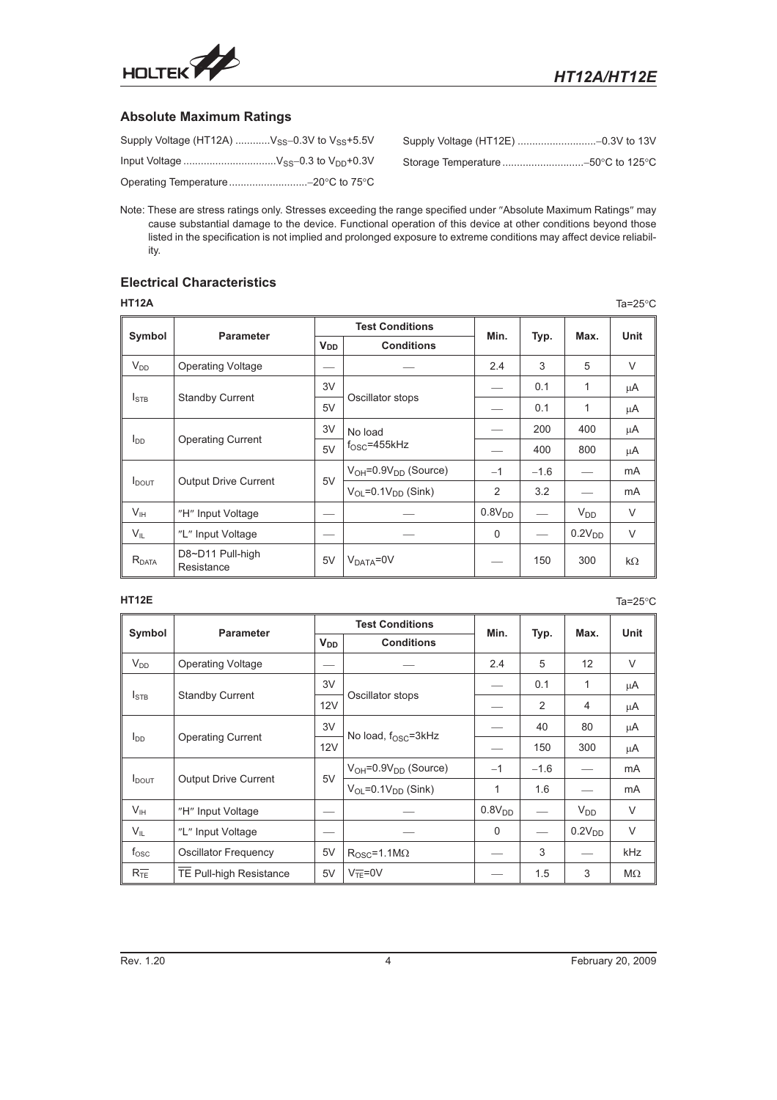

## **Absolute Maximum Ratings**

| Supply Voltage (HT12A) $V_{SS}$ –0.3V to $V_{SS}$ +5.5V |  |
|---------------------------------------------------------|--|
|                                                         |  |
| Operating Temperature -20 °C to 75 °C                   |  |

Note: These are stress ratings only. Stresses exceeding the range specified under "Absolute Maximum Ratings" may cause substantial damage to the device. Functional operation of this device at other conditions beyond those listed in the specification is not implied and prolonged exposure to extreme conditions may affect device reliability.

## **Electrical Characteristics**

| HT12A                  |                                |          |                                           |                    |        |                    | Ta= $25^{\circ}$ C |
|------------------------|--------------------------------|----------|-------------------------------------------|--------------------|--------|--------------------|--------------------|
|                        | <b>Parameter</b>               |          | <b>Test Conditions</b>                    | Min.               |        | Max.               | Unit               |
| Symbol                 |                                | $V_{DD}$ | <b>Conditions</b>                         |                    | Typ.   |                    |                    |
| $V_{DD}$               | <b>Operating Voltage</b>       |          |                                           | 2.4                | 3      | 5                  | $\vee$             |
|                        |                                |          |                                           |                    | 0.1    | 1                  | μA                 |
| $I_{\text{STB}}$       | <b>Standby Current</b>         | 5V       | Oscillator stops                          |                    | 0.1    | 1                  | μA                 |
|                        |                                |          | No load                                   |                    | 200    | 400                | μA                 |
| <b>I</b> <sub>DD</sub> | <b>Operating Current</b>       | 5V       | $fOSC=455kHz$                             |                    | 400    | 800                | μA                 |
|                        |                                |          | $V_{OH} = 0.9V_{DD}$ (Source)             | $-1$               | $-1.6$ |                    | mA                 |
| $I_{DOUT}$             | <b>Output Drive Current</b>    | 5V       | $V_{\Omega}$ = 0.1 $V_{\text{DD}}$ (Sink) | $\overline{2}$     | 3.2    |                    | mA                 |
| V <sub>IH</sub>        | "H" Input Voltage              |          |                                           | 0.8V <sub>DD</sub> |        | $V_{DD}$           | $\vee$             |
| $V_{IL}$               | "L" Input Voltage              |          |                                           | 0                  |        | 0.2V <sub>DD</sub> | $\vee$             |
| $R_{\text{DATA}}$      | D8~D11 Pull-high<br>Resistance | 5V       | $V_{DATA} = 0V$                           |                    | 150    | 300                | $k\Omega$          |

**HT12E** Ta=25°C **Ta=25°C** Ta=25°C **Ta=25°C** Ta=25°C Ta=25°C

|                   | <b>Parameter</b>               |                       | <b>Test Conditions</b>                     | Min.               |        | Max.               | Unit      |  |
|-------------------|--------------------------------|-----------------------|--------------------------------------------|--------------------|--------|--------------------|-----------|--|
| Symbol            |                                | <b>V<sub>DD</sub></b> | <b>Conditions</b>                          |                    | Typ.   |                    |           |  |
| $V_{DD}$          | <b>Operating Voltage</b>       | --                    |                                            | 2.4                | 5      | 12                 | V         |  |
|                   |                                | 3V                    |                                            |                    | 0.1    | 1                  | μA        |  |
| $I_{\text{STB}}$  | <b>Standby Current</b>         | 12V                   | Oscillator stops                           |                    | 2      | 4                  | μA        |  |
| l <sub>DD</sub>   |                                | 3V                    |                                            |                    | 40     | 80                 | μA        |  |
|                   | <b>Operating Current</b>       | 12V                   | No load, $f_{OSC} = 3kHz$                  |                    | 150    | 300                | μA        |  |
|                   |                                | 5V                    | $V_{OH} = 0.9V_{DD}$ (Source)              | $-1$               | $-1.6$ |                    | mA        |  |
| $I_{\text{DOUT}}$ | <b>Output Drive Current</b>    |                       | $V_{\text{OI}} = 0.1 V_{\text{DD}}$ (Sink) | 1                  | 1.6    |                    | mA        |  |
| $V_{\text{IH}}$   | "H" Input Voltage              |                       |                                            | 0.8V <sub>DD</sub> |        | $V_{DD}$           | $\vee$    |  |
| $V_{IL}$          | "L" Input Voltage              |                       |                                            | 0                  |        | 0.2V <sub>DD</sub> | $\vee$    |  |
| $f_{\rm osc}$     | <b>Oscillator Frequency</b>    | 5V                    | $R_{\rm OSC} = 1.1 M\Omega$                |                    | 3      |                    | kHz       |  |
| $R_{TE}^-$        | <b>TE Pull-high Resistance</b> | 5V                    | $V_{\overline{TF}} = 0V$                   |                    | 1.5    | 3                  | $M\Omega$ |  |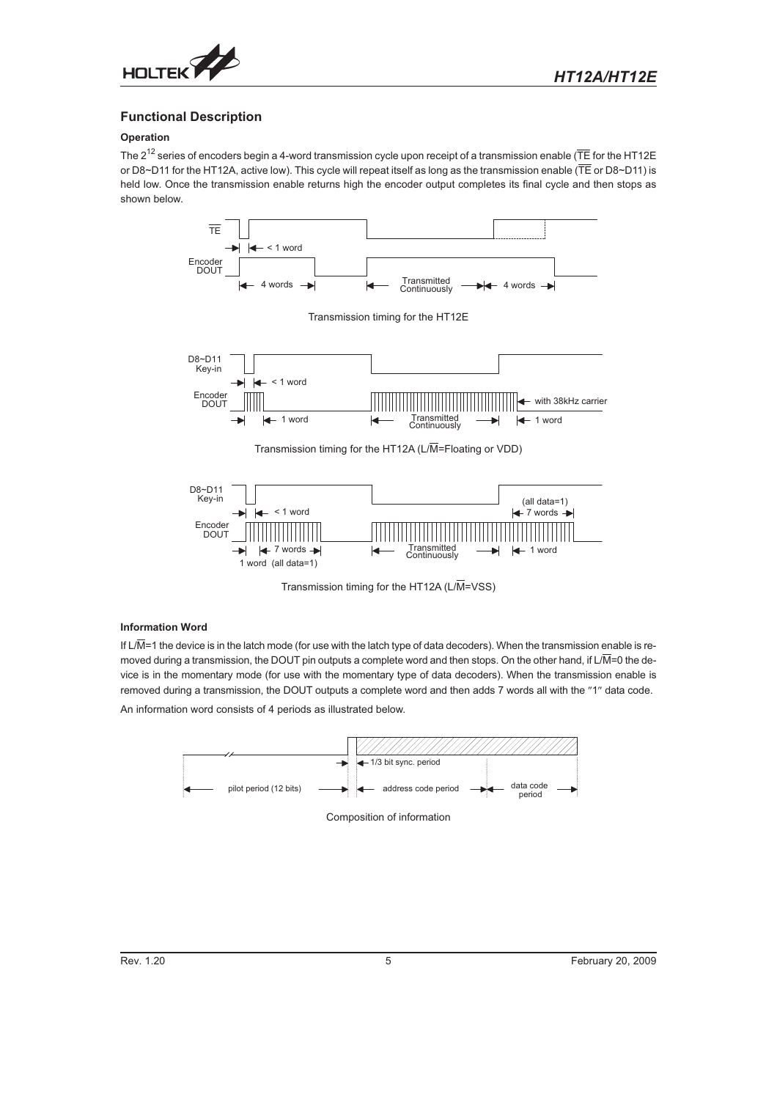

## **Functional Description**

## **Operation**

The  $2^{12}$  series of encoders begin a 4-word transmission cycle upon receipt of a transmission enable ( $\overline{TE}$  for the HT12E or D8~D11 for the HT12A, active low). This cycle will repeat itself as long as the transmission enable (TE or D8~D11) is held low. Once the transmission enable returns high the encoder output completes its final cycle and then stops as shown below.





Transmission timing for the HT12A ( $L/\overline{M}$ =VSS)

#### **Information Word**

If L/M=1 the device is in the latch mode (for use with the latch type of data decoders). When the transmission enable is removed during a transmission, the DOUT pin outputs a complete word and then stops. On the other hand, if L/M=0 the device is in the momentary mode (for use with the momentary type of data decoders). When the transmission enable is removed during a transmission, the DOUT outputs a complete word and then adds 7 words all with the "1" data code.

An information word consists of 4 periods as illustrated below.

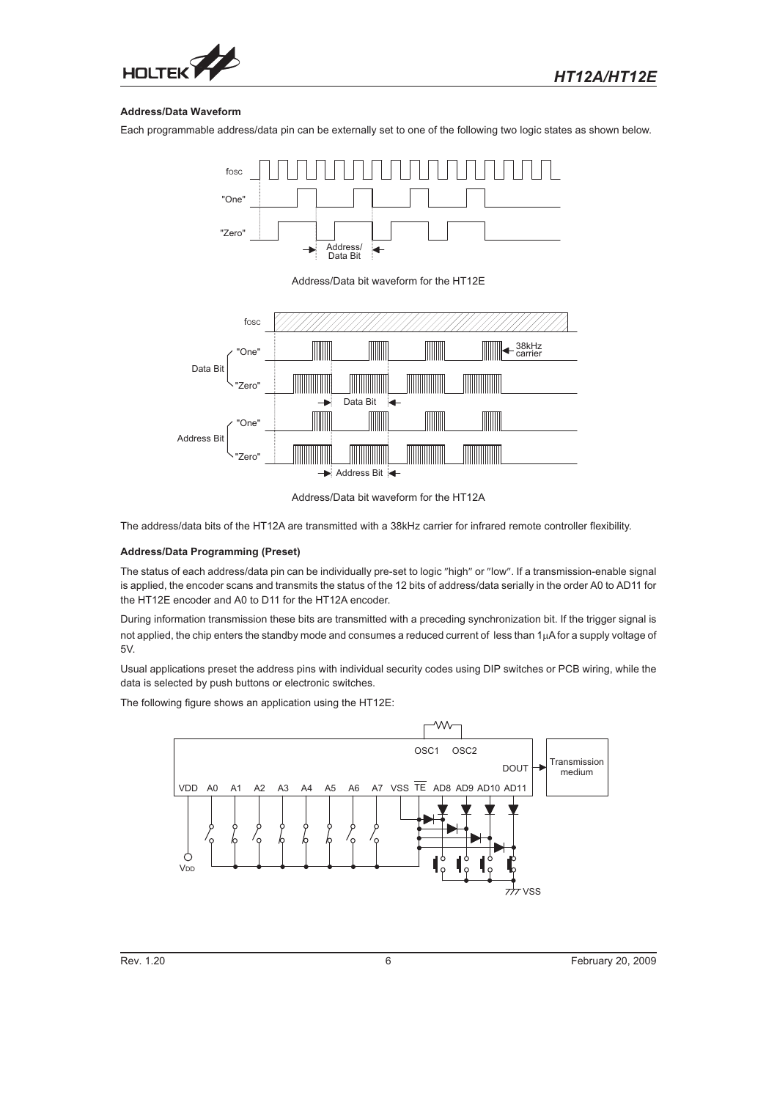

#### **Address/Data Waveform**

Each programmable address/data pin can be externally set to one of the following two logic states as shown below.



Address/Data bit waveform for the HT12E



Address/Data bit waveform for the HT12A

The address/data bits of the HT12A are transmitted with a 38kHz carrier for infrared remote controller flexibility.

#### **Address/Data Programming (Preset)**

The status of each address/data pin can be individually pre-set to logic "high" or "low". If a transmission-enable signal is applied, the encoder scans and transmits the status of the 12 bits of address/data serially in the order A0 to AD11 for the HT12E encoder and A0 to D11 for the HT12A encoder.

During information transmission these bits are transmitted with a preceding synchronization bit. If the trigger signal is not applied, the chip enters the standby mode and consumes a reduced current of less than  $1\mu A$  for a supply voltage of 5V.

Usual applications preset the address pins with individual security codes using DIP switches or PCB wiring, while the data is selected by push buttons or electronic switches.

The following figure shows an application using the HT12E:

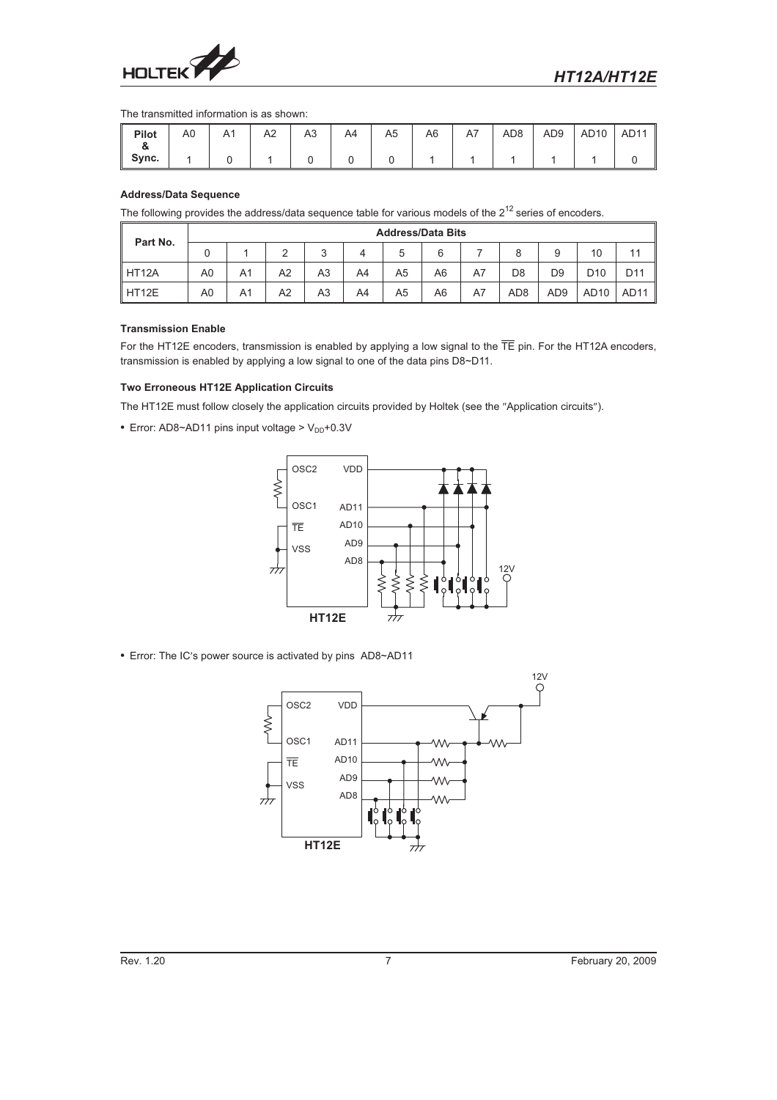

#### The transmitted information is as shown:

| Pilot       | A0 | A1 | A2 | A <sub>3</sub> | A4 | A <sub>5</sub> | A6 | A7 | AD <sub>8</sub> | AD <sub>9</sub> | AD10 | AD <sub>11</sub><br>I |
|-------------|----|----|----|----------------|----|----------------|----|----|-----------------|-----------------|------|-----------------------|
| o.<br>Sync. |    |    |    |                |    |                |    |    |                 |                 |      |                       |

#### **Address/Data Sequence**

The following provides the address/data sequence table for various models of the  $2^{12}$  series of encoders.

| Part No.           |    |    |                |        |    |    | <b>Address/Data Bits</b> |    |                 |                 |                  |      |
|--------------------|----|----|----------------|--------|----|----|--------------------------|----|-----------------|-----------------|------------------|------|
|                    |    |    | ົ              | 2<br>ີ |    | b  | 6                        |    |                 |                 | 10               |      |
| HT <sub>12</sub> A | A0 | A1 | A <sub>2</sub> | A3     | A4 | A5 | A6                       | A7 | D <sub>8</sub>  | D <sub>9</sub>  | D <sub>10</sub>  | D11  |
| HT12E              | A0 | A1 | A2             | A3     | A4 | A5 | A6                       | A7 | AD <sub>8</sub> | AD <sub>9</sub> | AD <sub>10</sub> | AD11 |

#### **Transmission Enable**

For the HT12E encoders, transmission is enabled by applying a low signal to the  $\overline{TE}$  pin. For the HT12A encoders, transmission is enabled by applying a low signal to one of the data pins D8~D11.

#### **Two Erroneous HT12E Application Circuits**

The HT12E must follow closely the application circuits provided by Holtek (see the "Application circuits").

• Error: AD8~AD11 pins input voltage >  $V_{DD}$ +0.3V



• Error: The IC's power source is activated by pins AD8~AD11

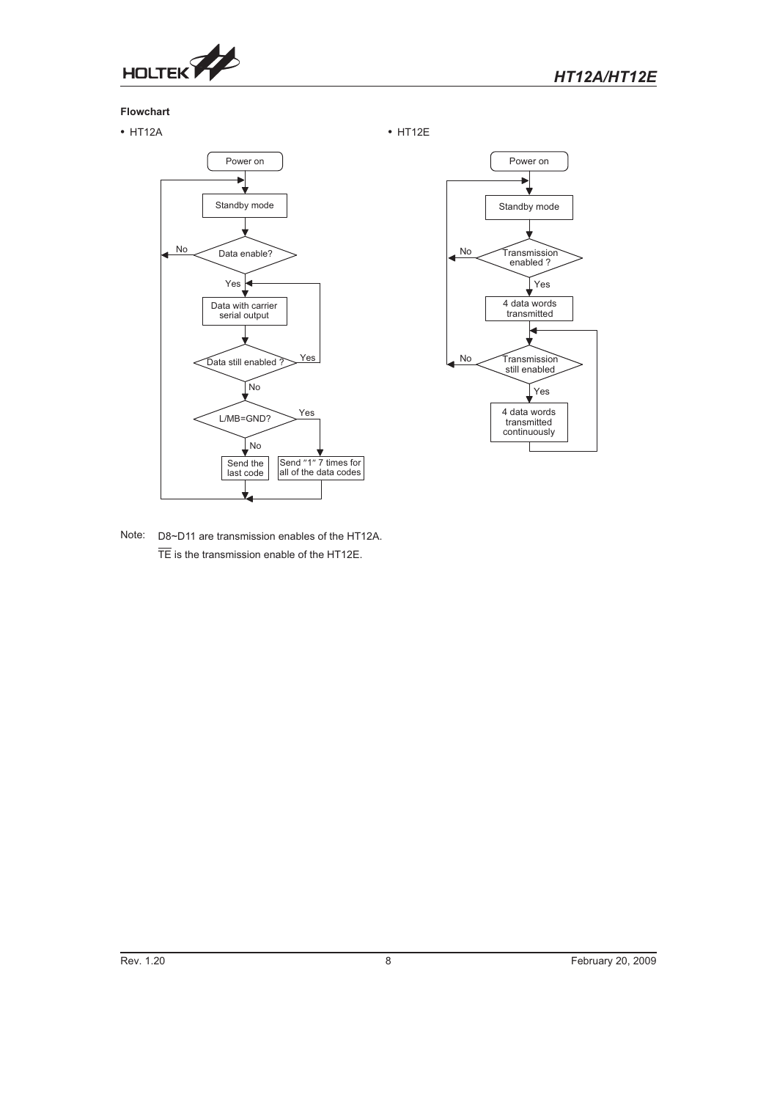

## **Flowchart**

HT12A HT12E





Note: D8~D11 are transmission enables of the HT12A. TE is the transmission enable of the HT12E.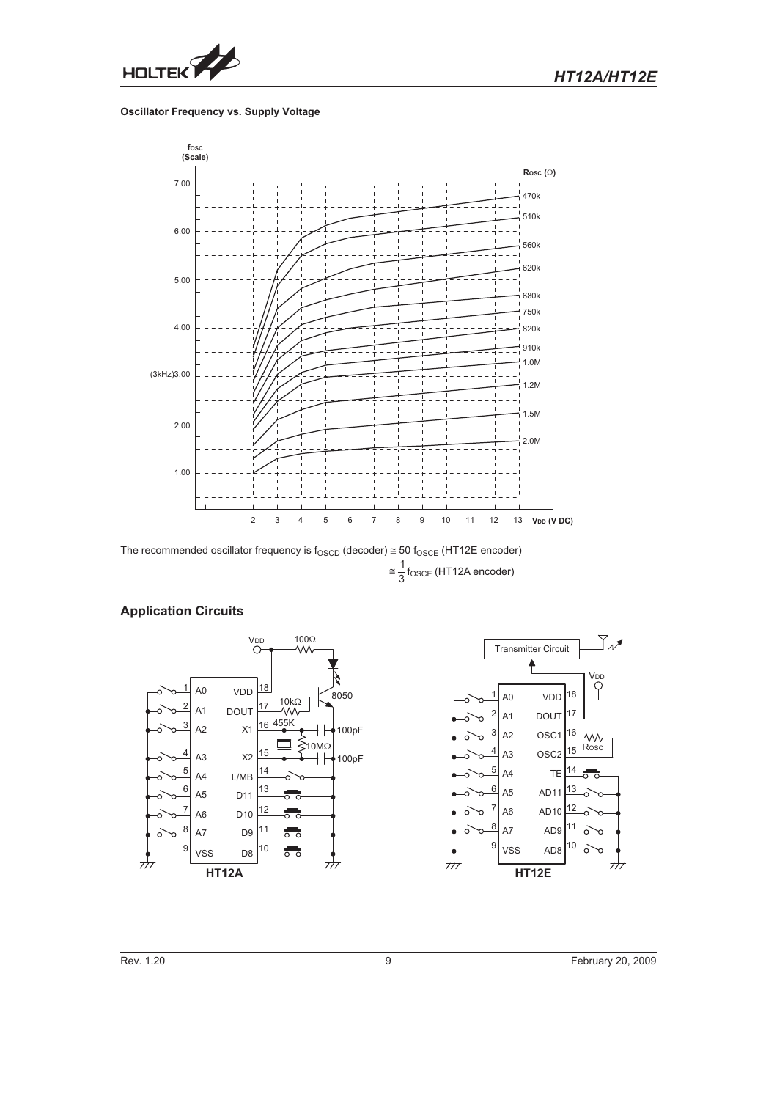

### **Oscillator Frequency vs. Supply Voltage**



The recommended oscillator frequency is f $_{\rm OSCD}$  (decoder)  $\cong$  50 f $_{\rm OSCE}$  (HT12E encoder)  $\approx \frac{1}{3}$ f<sub>OSCE</sub> (HT12A encoder)



## **Application Circuits**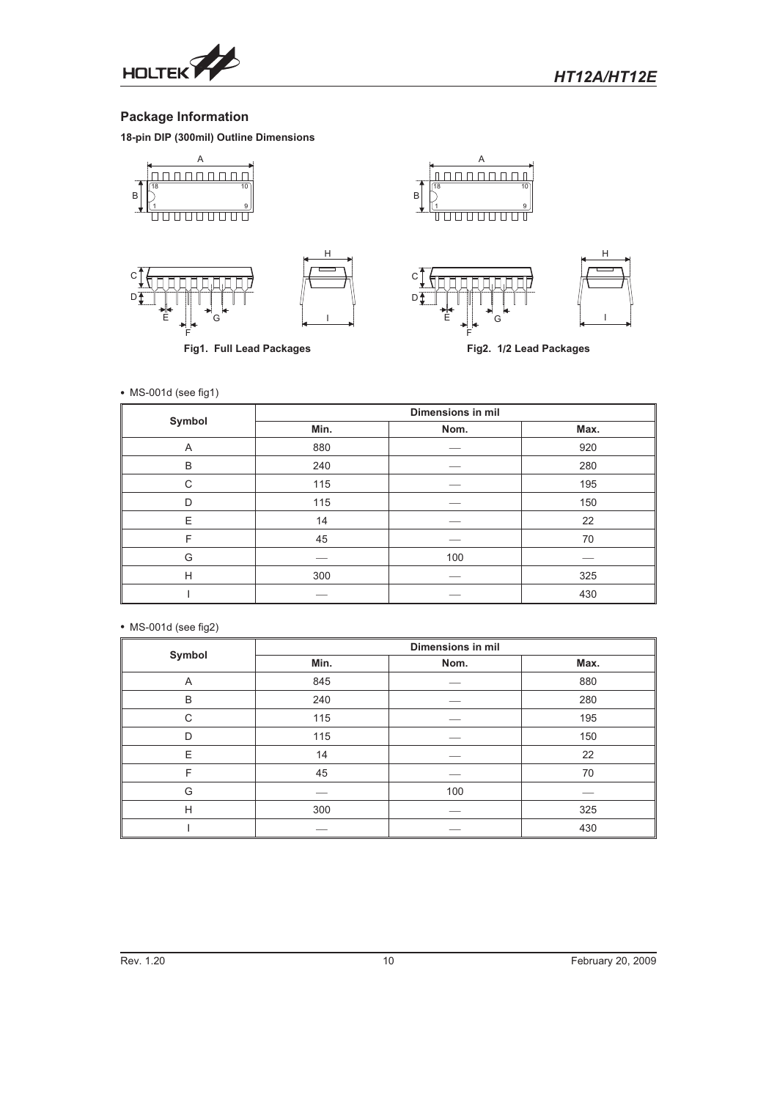

## **Package Information**

**18-pin DIP (300mil) Outline Dimensions**



- MS-001d (see fig1)

| Symbol | Dimensions in mil |      |      |  |  |  |  |
|--------|-------------------|------|------|--|--|--|--|
|        | Min.              | Nom. | Max. |  |  |  |  |
| Α      | 880               |      | 920  |  |  |  |  |
| B      | 240               |      | 280  |  |  |  |  |
| C      | 115               |      | 195  |  |  |  |  |
| D      | 115               |      | 150  |  |  |  |  |
| E      | 14                |      | 22   |  |  |  |  |
| F      | 45                |      | 70   |  |  |  |  |
| G      |                   | 100  |      |  |  |  |  |
| H      | 300               |      | 325  |  |  |  |  |
|        |                   |      | 430  |  |  |  |  |

- MS-001d (see fig2)

|        | Dimensions in mil |      |      |  |  |  |  |
|--------|-------------------|------|------|--|--|--|--|
| Symbol | Min.              | Nom. | Max. |  |  |  |  |
| A      | 845               |      | 880  |  |  |  |  |
| B      | 240               |      | 280  |  |  |  |  |
| C      | 115               |      | 195  |  |  |  |  |
| D      | 115               |      | 150  |  |  |  |  |
| E      | 14                |      | 22   |  |  |  |  |
| F      | 45                |      | 70   |  |  |  |  |
| G      |                   | 100  |      |  |  |  |  |
| H      | 300               |      | 325  |  |  |  |  |
|        |                   |      | 430  |  |  |  |  |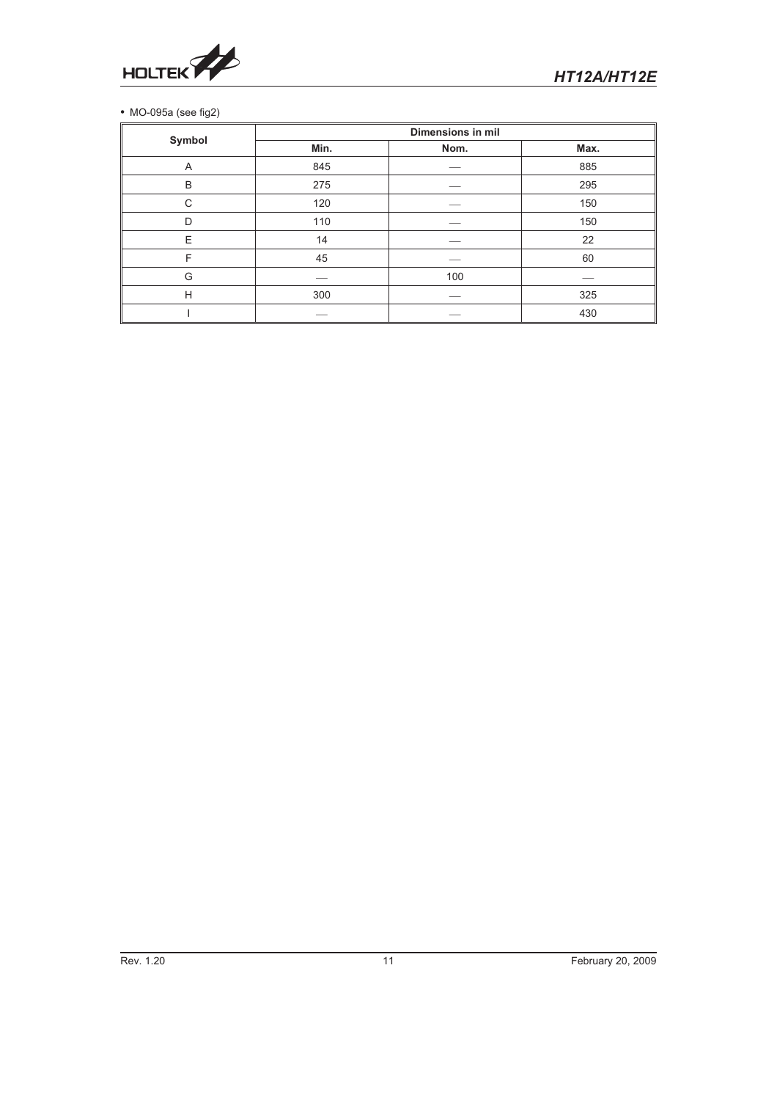

## MO-095a (see fig2)

|        | <b>Dimensions in mil</b> |      |      |  |  |  |  |
|--------|--------------------------|------|------|--|--|--|--|
| Symbol | Min.                     | Nom. | Max. |  |  |  |  |
| Α      | 845                      |      | 885  |  |  |  |  |
| B      | 275                      |      | 295  |  |  |  |  |
| C      | 120                      |      | 150  |  |  |  |  |
| D      | 110                      |      | 150  |  |  |  |  |
| E      | 14                       |      | 22   |  |  |  |  |
| F      | 45                       |      | 60   |  |  |  |  |
| G      |                          | 100  |      |  |  |  |  |
| H      | 300                      |      | 325  |  |  |  |  |
|        |                          |      | 430  |  |  |  |  |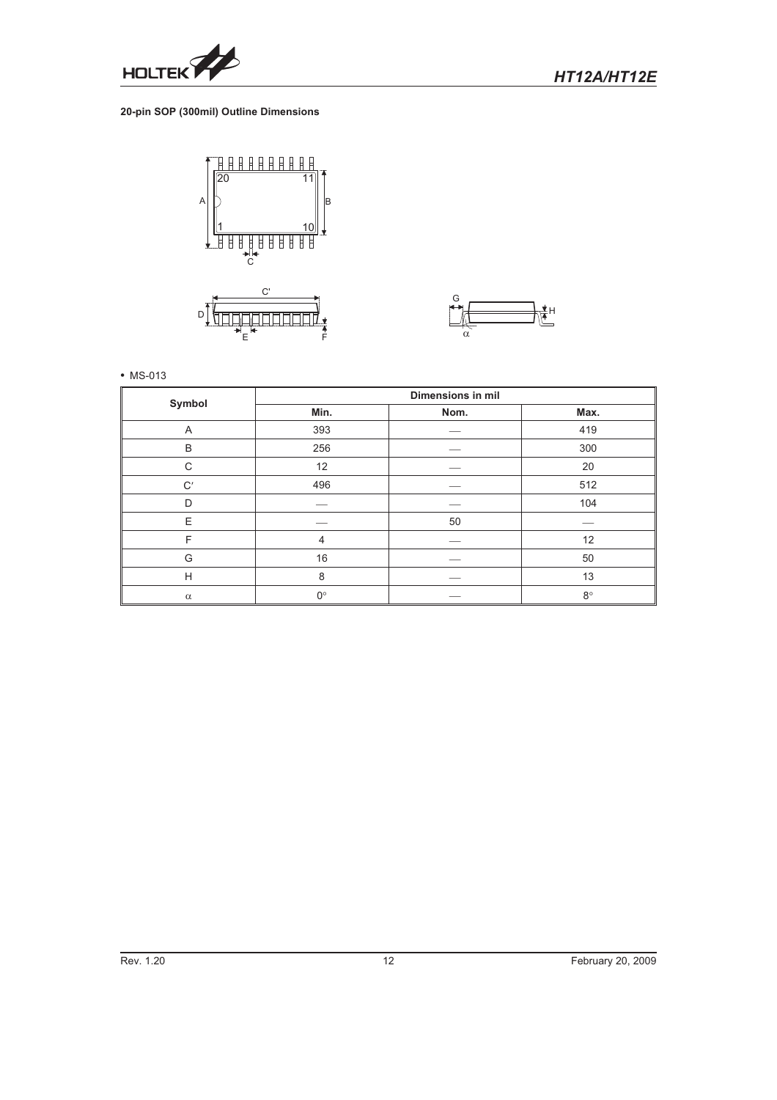

## **20-pin SOP (300mil) Outline Dimensions**



E



• MS-013

| Symbol         |             | <b>Dimensions in mil</b> |             |  |  |  |  |  |
|----------------|-------------|--------------------------|-------------|--|--|--|--|--|
|                | Min.        | Nom.                     | Max.        |  |  |  |  |  |
| $\overline{A}$ | 393         |                          | 419         |  |  |  |  |  |
| B              | 256         |                          | 300         |  |  |  |  |  |
| C              | 12          |                          | 20          |  |  |  |  |  |
| $\mathrm{C}'$  | 496         |                          | 512         |  |  |  |  |  |
| D              |             |                          | 104         |  |  |  |  |  |
| Ε              |             | 50                       |             |  |  |  |  |  |
| F              | 4           |                          | 12          |  |  |  |  |  |
| G              | 16          |                          | 50          |  |  |  |  |  |
| Н              | 8           |                          | 13          |  |  |  |  |  |
| $\alpha$       | $0^{\circ}$ |                          | $8^{\circ}$ |  |  |  |  |  |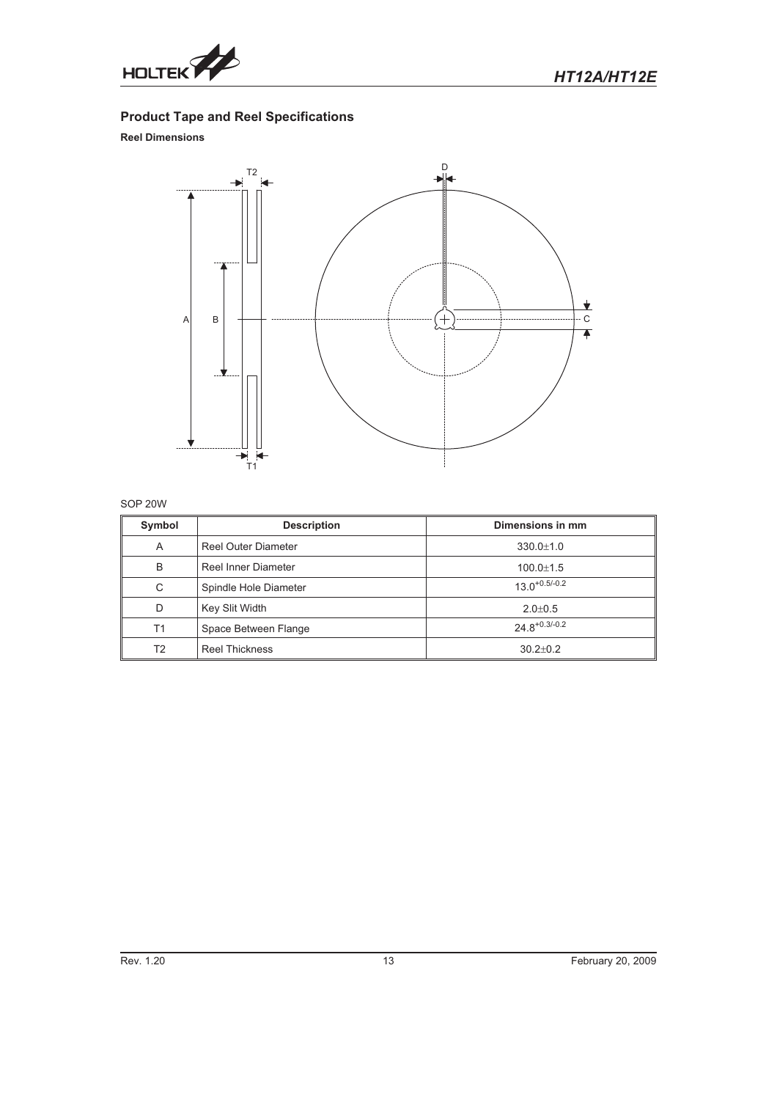

## **Product Tape and Reel Specifications**

## **Reel Dimensions**



## SOP 20W

| Symbol | <b>Description</b>         | Dimensions in mm   |
|--------|----------------------------|--------------------|
| A      | <b>Reel Outer Diameter</b> | $330.0 \pm 1.0$    |
| B      | Reel Inner Diameter        | $100.0 \pm 1.5$    |
| C      | Spindle Hole Diameter      | $13.0^{+0.5/-0.2}$ |
| D      | Key Slit Width             | $2.0 \pm 0.5$      |
| T1     | Space Between Flange       | $24.8^{+0.3/-0.2}$ |
| T2     | <b>Reel Thickness</b>      | $30.2 + 0.2$       |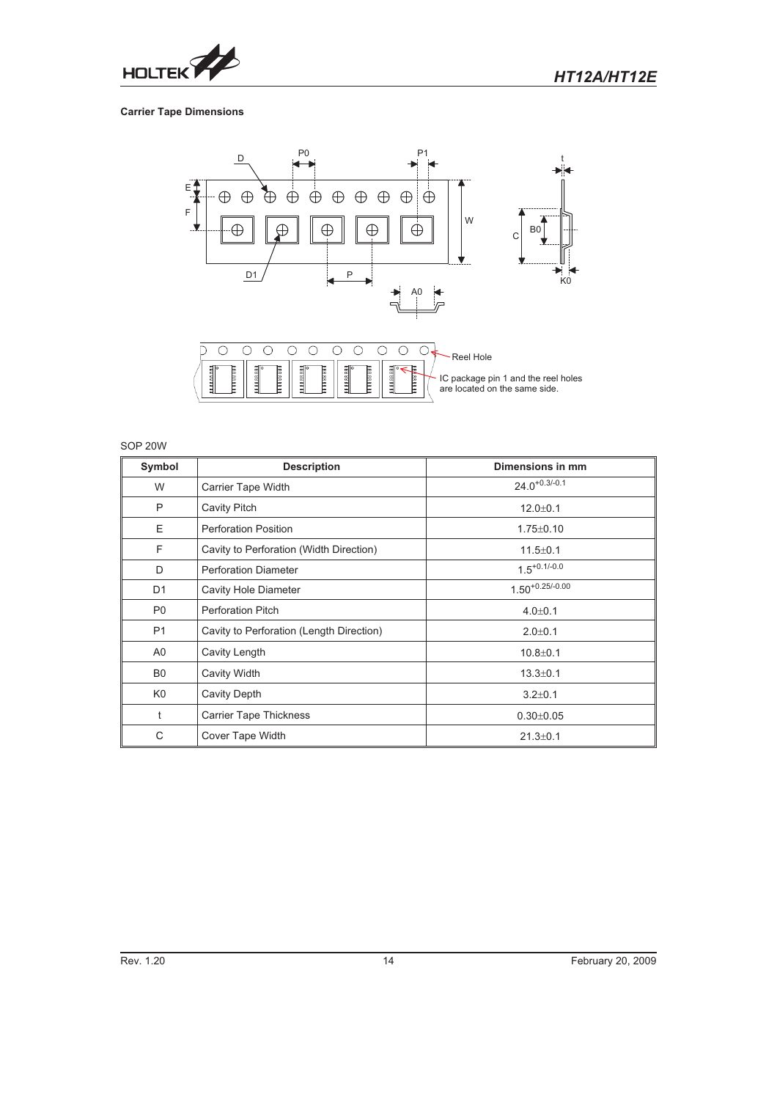

## **Carrier Tape Dimensions**



## SOP 20W

| Symbol         | <b>Description</b>                       | Dimensions in mm     |
|----------------|------------------------------------------|----------------------|
| W              | Carrier Tape Width                       | $24.0^{+0.3/-0.1}$   |
| P              | Cavity Pitch                             | $12.0 + 0.1$         |
| E              | <b>Perforation Position</b>              | $1.75 \pm 0.10$      |
| F              | Cavity to Perforation (Width Direction)  | $11.5 \pm 0.1$       |
| D              | <b>Perforation Diameter</b>              | $1.5^{+0.1/-0.0}$    |
| D <sub>1</sub> | <b>Cavity Hole Diameter</b>              | $1.50^{+0.25/-0.00}$ |
| P <sub>0</sub> | <b>Perforation Pitch</b>                 | $4.0 \pm 0.1$        |
| <b>P1</b>      | Cavity to Perforation (Length Direction) | $2.0 + 0.1$          |
| A <sub>0</sub> | Cavity Length                            | $10.8 + 0.1$         |
| B <sub>0</sub> | Cavity Width                             | $13.3 \pm 0.1$       |
| K <sub>0</sub> | Cavity Depth                             | $3.2 \pm 0.1$        |
| t              | <b>Carrier Tape Thickness</b>            | $0.30 \pm 0.05$      |
| C              | Cover Tape Width                         | $21.3 \pm 0.1$       |